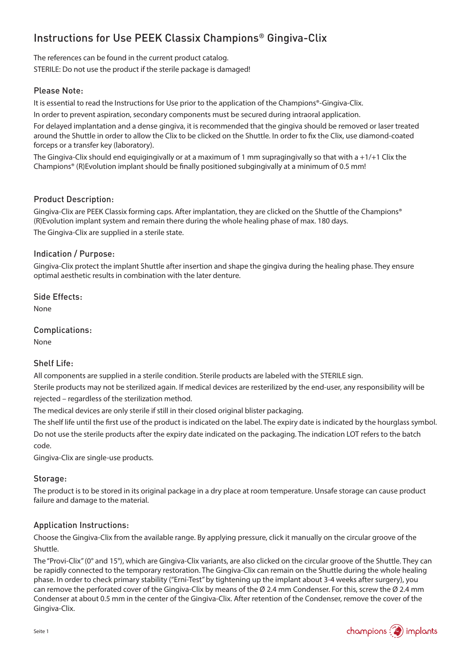# Instructions for Use PEEK Classix Champions® Gingiva-Clix

The references can be found in the current product catalog. STERILE: Do not use the product if the sterile package is damaged!

## Please Note:

It is essential to read the Instructions for Use prior to the application of the Champions®-Gingiva-Clix.

In order to prevent aspiration, secondary components must be secured during intraoral application.

For delayed implantation and a dense gingiva, it is recommended that the gingiva should be removed or laser treated around the Shuttle in order to allow the Clix to be clicked on the Shuttle. In order to fix the Clix, use diamond-coated forceps or a transfer key (laboratory).

The Gingiva-Clix should end equigingivally or at a maximum of 1 mm supragingivally so that with a  $+1/+1$  Clix the Champions® (R)Evolution implant should be finally positioned subgingivally at a minimum of 0.5 mm!

#### Product Description:

Gingiva-Clix are PEEK Classix forming caps. After implantation, they are clicked on the Shuttle of the Champions® (R)Evolution implant system and remain there during the whole healing phase of max. 180 days. The Gingiva-Clix are supplied in a sterile state.

### Indication / Purpose:

Gingiva-Clix protect the implant Shuttle after insertion and shape the gingiva during the healing phase. They ensure optimal aesthetic results in combination with the later denture.

Side Effects:

None

Complications:

None

#### Shelf Life:

All components are supplied in a sterile condition. Sterile products are labeled with the STERILE sign. Sterile products may not be sterilized again. If medical devices are resterilized by the end-user, any responsibility will be rejected – regardless of the sterilization method.

The medical devices are only sterile if still in their closed original blister packaging.

The shelf life until the first use of the product is indicated on the label. The expiry date is indicated by the hourglass symbol. Do not use the sterile products after the expiry date indicated on the packaging. The indication LOT refers to the batch code.

Gingiva-Clix are single-use products.

#### Storage:

The product is to be stored in its original package in a dry place at room temperature. Unsafe storage can cause product failure and damage to the material.

#### Application Instructions:

Choose the Gingiva-Clix from the available range. By applying pressure, click it manually on the circular groove of the Shuttle.

The "Provi-Clix" (0° and 15°), which are Gingiva-Clix variants, are also clicked on the circular groove of the Shuttle. They can be rapidly connected to the temporary restoration. The Gingiva-Clix can remain on the Shuttle during the whole healing phase. In order to check primary stability ("Erni-Test" by tightening up the implant about 3-4 weeks after surgery), you can remove the perforated cover of the Gingiva-Clix by means of the Ø 2.4 mm Condenser. For this, screw the Ø 2.4 mm Condenser at about 0.5 mm in the center of the Gingiva-Clix. After retention of the Condenser, remove the cover of the Gingiva-Clix.